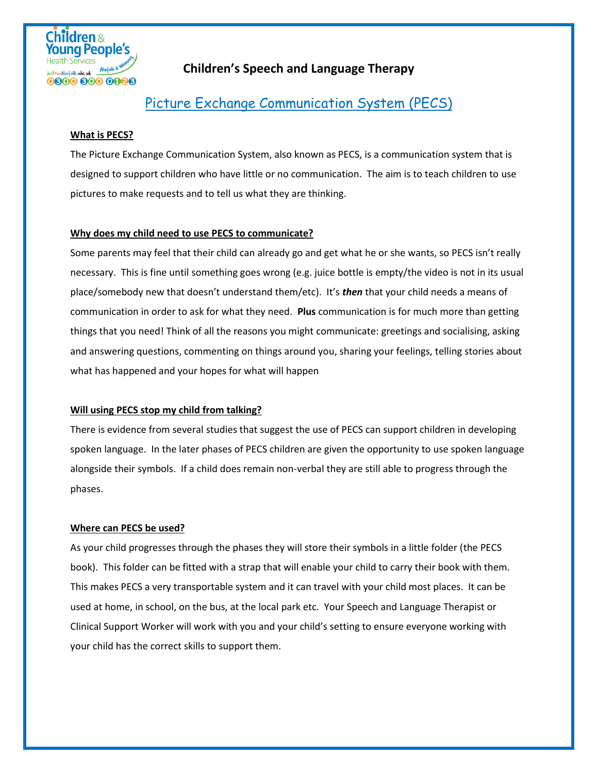

## **Children's Speech and Language Therapy**

# Picture Exchange Communication System (PECS)

#### **What is PECS?**

The Picture Exchange Communication System, also known as PECS, is a communication system that is designed to support children who have little or no communication. The aim is to teach children to use pictures to make requests and to tell us what they are thinking.

#### **Why does my child need to use PECS to communicate?**

Some parents may feel that their child can already go and get what he or she wants, so PECS isn't really necessary. This is fine until something goes wrong (e.g. juice bottle is empty/the video is not in its usual place/somebody new that doesn't understand them/etc). It's *then* that your child needs a means of communication in order to ask for what they need. **Plus** communication is for much more than getting things that you need! Think of all the reasons you might communicate: greetings and socialising, asking and answering questions, commenting on things around you, sharing your feelings, telling stories about what has happened and your hopes for what will happen

#### **Will using PECS stop my child from talking?**

There is evidence from several studies that suggest the use of PECS can support children in developing spoken language. In the later phases of PECS children are given the opportunity to use spoken language alongside their symbols. If a child does remain non-verbal they are still able to progress through the phases.

#### **Where can PECS be used?**

As your child progresses through the phases they will store their symbols in a little folder (the PECS book). This folder can be fitted with a strap that will enable your child to carry their book with them. This makes PECS a very transportable system and it can travel with your child most places. It can be used at home, in school, on the bus, at the local park etc. Your Speech and Language Therapist or Clinical Support Worker will work with you and your child's setting to ensure everyone working with your child has the correct skills to support them.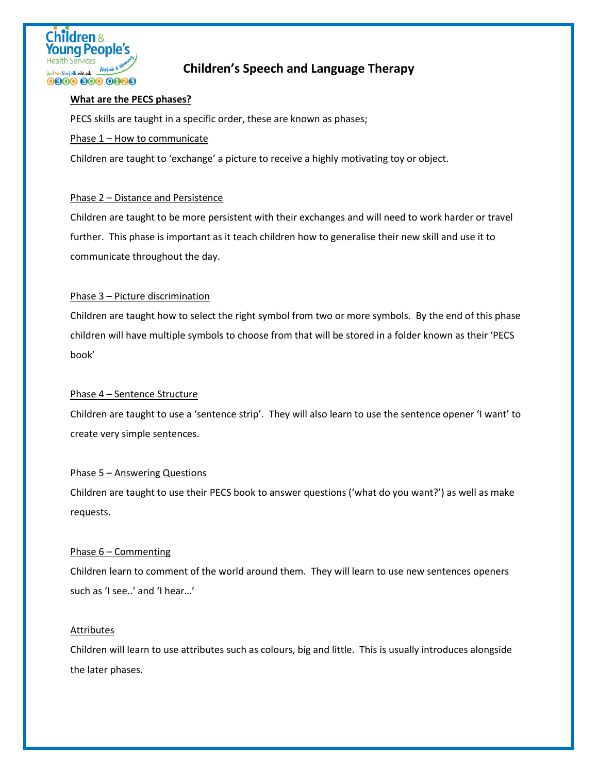

# **Children's Speech and Language Therapy**

#### **What are the PECS phases?**

PECS skills are taught in a specific order, these are known as phases;

#### Phase 1 – How to communicate

Children are taught to 'exchange' a picture to receive a highly motivating toy or object.

#### Phase 2 – Distance and Persistence

Children are taught to be more persistent with their exchanges and will need to work harder or travel further. This phase is important as it teach children how to generalise their new skill and use it to communicate throughout the day.

#### Phase 3 – Picture discrimination

Children are taught how to select the right symbol from two or more symbols. By the end of this phase children will have multiple symbols to choose from that will be stored in a folder known as their 'PECS book'

#### Phase 4 – Sentence Structure

Children are taught to use a 'sentence strip'. They will also learn to use the sentence opener 'I want' to create very simple sentences.

#### Phase 5 – Answering Questions

Children are taught to use their PECS book to answer questions ('what do you want?') as well as make requests.

#### Phase 6 – Commenting

Children learn to comment of the world around them. They will learn to use new sentences openers such as 'I see..' and 'I hear…'

#### Attributes

Children will learn to use attributes such as colours, big and little. This is usually introduces alongside the later phases.